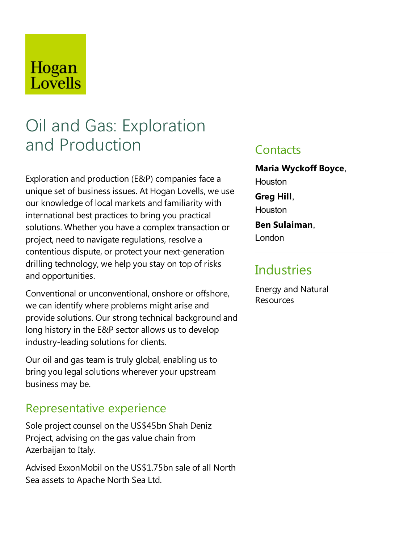## Hogan Lovells

# Oil and Gas: Exploration and Production

Exploration and production (E&P) companies face a unique set of business issues. At Hogan Lovells, we use our knowledge of local markets and familiarity with international best practices to bring you practical solutions. Whether you have a complex transaction or project, need to navigate regulations, resolve a contentious dispute, or protect your next-generation drilling technology, we help you stay on top of risks and opportunities.

Conventional or unconventional, onshore or offshore, we can identify where problems might arise and provide solutions. Our strong technical background and long history in the E&P sector allows us to develop industry-leading solutions for clients.

Our oil and gas team is truly global, enabling us to bring you legal solutions wherever your upstream business may be.

### Representative experience

Sole project counsel on the US\$45bn Shah Deniz Project, advising on the gas value chain from Azerbaijan to Italy.

Advised ExxonMobil on the US\$1.75bn sale of all North Sea assets to Apache North Sea Ltd.

### **Contacts**

**Maria Wyckoff Boyce**, **Houston Greg Hill**, **Houston Ben Sulaiman**, London

### **Industries**

Energy and Natural Resources